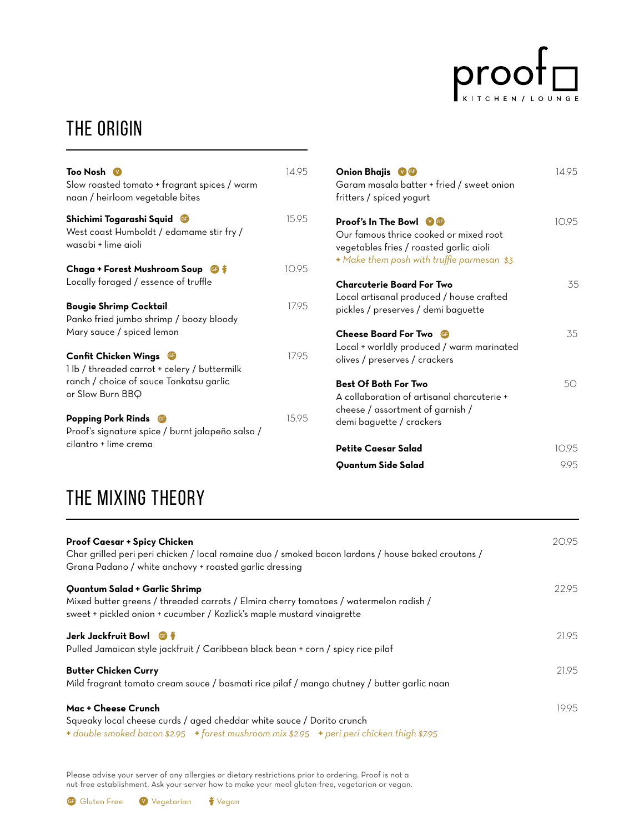

### THE ORIGIN

| Too Nosh $\sqrt{2}$<br>Slow roasted tomato + fragrant spices / warm<br>naan / heirloom vegetable bites                              | 14 9.5 |
|-------------------------------------------------------------------------------------------------------------------------------------|--------|
| Shichimi Togarashi Squid<br>West coast Humboldt / edamame stir fry /<br>wasabi + lime aioli                                         | 1595   |
| Chaga + Forest Mushroom Soup <b>G</b><br>Locally foraged / essence of truffle                                                       | 1095   |
| Bougie Shrimp Cocktail<br>Panko fried jumbo shrimp / boozy bloody<br>Mary sauce / spiced lemon                                      | 1795   |
| Confit Chicken Wings<br>1 lb / threaded carrot + celery / buttermilk<br>ranch / choice of sauce Tonkatsu garlic<br>or Slow Burn BBQ | 1795   |
| <b>Popping Pork Rinds</b><br><b>GF</b><br>Proof's signature spice / burnt jalapeño salsa /<br>cilantro + lime crema                 | 1595   |

| Onion Bhajis VG<br>Garam masala batter + fried / sweet onion<br>fritters / spiced yogurt                                                                        | 1495  |
|-----------------------------------------------------------------------------------------------------------------------------------------------------------------|-------|
| <b>Proof's In The Bowl W</b><br>Our famous thrice cooked or mixed root<br>vegetables fries / roasted garlic aioli<br>+ Make them posh with truffle parmesan \$3 | 1095  |
| <b>Charcuterie Board For Two</b><br>Local artisanal produced / house crafted<br>pickles / preserves / demi baguette                                             | 35    |
| <b>Cheese Board For Two</b><br>GF)<br>Local + worldly produced / warm marinated<br>olives / preserves / crackers                                                | 35    |
| <b>Best Of Both For Two</b><br>A collaboration of artisanal charcuterie +<br>cheese / assortment of garnish /<br>demi baguette / crackers                       | 50    |
| Petite Caesar Salad                                                                                                                                             | 10.95 |
| Quantum Side Salad                                                                                                                                              | 9.95  |

## the mixing theory

| <b>Proof Caesar + Spicy Chicken</b><br>Char grilled peri peri chicken / local romaine duo / smoked bacon lardons / house baked croutons /<br>Grana Padano / white anchovy + roasted garlic dressing | 20.95 |
|-----------------------------------------------------------------------------------------------------------------------------------------------------------------------------------------------------|-------|
| Quantum Salad + Garlic Shrimp<br>Mixed butter greens / threaded carrots / Elmira cherry tomatoes / watermelon radish /<br>sweet + pickled onion + cucumber / Kozlick's maple mustard vinaigrette    | 22.95 |
| Jerk Jackfruit Bowl <b>G</b><br>Pulled Jamaican style jackfruit / Caribbean black bean + corn / spicy rice pilaf                                                                                    | 21.95 |
| <b>Butter Chicken Curry</b><br>Mild fragrant tomato cream sauce / basmati rice pilaf / mango chutney / butter garlic naan                                                                           | 21.95 |
| Mac + Cheese Crunch<br>Squeaky local cheese curds / aged cheddar white sauce / Dorito crunch<br>+ double smoked bacon \$2.95 + forest mushroom mix \$2.95 + peri peri chicken thigh \$7.95          | 19.95 |

Please advise your server of any allergies or dietary restrictions prior to ordering. Proof is not a nut-free establishment. Ask your server how to make your meal gluten-free, vegetarian or vegan.